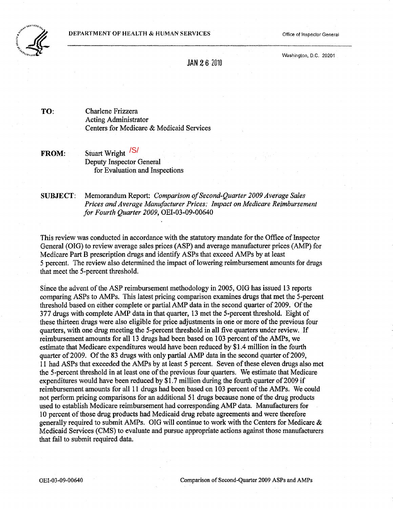

Washington. D.C. 20201

JAN 26 2010

TO: Charlene Frizzera Acting Administrator Centers for Medicare & Medicaid Services

FROM: Stuart Wright <sup>/S/</sup> Deputy Inspector General for Evaluation and Inspections

SUBJECT: Memorandum Report: *Comparison o/Second-Quarter 2009 Average Sales Prices and Average Manufacturer Prices: Impact on Medicare Reimbursement for Fourth Quarter 2009,* OEI-03-09-00640

This review was conducted in accordance with the statutory mandate for the Office of Inspector General (OIG) to review average sales prices (ASP) and average manufacturer prices (AMP) for Medicare Part B prescription drugs and identify ASPs that exceed AMPs by at least 5 percent. The review also determined the impact of lowering reimbursement amounts for drugs that meet the 5-percent threshold.

Since the advent of the ASP reimbursement methodology in 2005, OIG has issued 13 reports comparing ASPs to AMPs. This latest pricing comparison examines drugs that met the 5-percent threshold based on either complete or partial AMP data in the second quarter of 2009. Of the 377 drugs with complete AMP data in that quarter, 13 met the 5-percent threshold. Eight of these thirteen drugs were also eligible for price adjustments in one or more of the previous four quarters, with one drug meeting the 5-percent threshold in all five quarters under review. If reimbursement amounts for all 13 drugs had been based on 103 percent of the AMPs, we estimate that Medicare expenditures would have been reduced by \$1.4 million in the fourth quarter of 2009. Of the 83 drugs with only partial AMP data in the second quarter of 2009, 11 had ASPs that exceeded the AMPs by at least 5 percent. Seven ofthese eleven drugs also met the 5-percent threshold in at least one of the previous four quarters. We estimate that Medicare expenditures would have been reduced by \$1.7 million during the fourth quarter of 2009 if reimbursement amounts for all 11 drugs had been based on 103 percent of the AMPs. We could not perform pricing comparisons for an additional 51 drugs because none of the drug products used to establish Medicare reimbursement had corresponding AMP data. Manufacturers for 10 percent of those drug products had Medicaid drug rebate agreements and were therefore generally required to submit AMPs. OIG will continue to work with the Centers for Medicare & Medicaid Services (CMS) to evaluate and pursue appropriate actions against those manufacturers that fail to submit required data.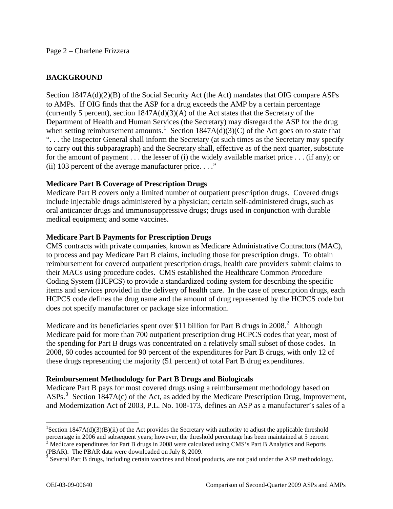#### Page 2 – Charlene Frizzera

# **BACKGROUND**

Section 1847A(d)(2)(B) of the Social Security Act (the Act) mandates that OIG compare ASPs to AMPs. If OIG finds that the ASP for a drug exceeds the AMP by a certain percentage (currently 5 percent), section 1847A(d)(3)(A) of the Act states that the Secretary of the Department of Health and Human Services (the Secretary) may disregard the ASP for the drug when setting reimbursement amounts.<sup>[1](#page-1-0)</sup> Section 1847A(d)(3)(C) of the Act goes on to state that ". . . the Inspector General shall inform the Secretary (at such times as the Secretary may specify to carry out this subparagraph) and the Secretary shall, effective as of the next quarter, substitute for the amount of payment . . . the lesser of (i) the widely available market price . . . (if any); or (ii) 103 percent of the average manufacturer price.  $\dots$ "

## **Medicare Part B Coverage of Prescription Drugs**

Medicare Part B covers only a limited number of outpatient prescription drugs. Covered drugs include injectable drugs administered by a physician; certain self-administered drugs, such as oral anticancer drugs and immunosuppressive drugs; drugs used in conjunction with durable medical equipment; and some vaccines.

## **Medicare Part B Payments for Prescription Drugs**

CMS contracts with private companies, known as Medicare Administrative Contractors (MAC), to process and pay Medicare Part B claims, including those for prescription drugs. To obtain reimbursement for covered outpatient prescription drugs, health care providers submit claims to their MACs using procedure codes. CMS established the Healthcare Common Procedure Coding System (HCPCS) to provide a standardized coding system for describing the specific items and services provided in the delivery of health care. In the case of prescription drugs, each HCPCS code defines the drug name and the amount of drug represented by the HCPCS code but does not specify manufacturer or package size information.

Medicare and its beneficiaries spent over \$11 billion for Part B drugs in [2](#page-1-1)008.<sup>2</sup> Although Medicare paid for more than 700 outpatient prescription drug HCPCS codes that year, most of the spending for Part B drugs was concentrated on a relatively small subset of those codes. In 2008, 60 codes accounted for 90 percent of the expenditures for Part B drugs, with only 12 of these drugs representing the majority (51 percent) of total Part B drug expenditures.

## **Reimbursement Methodology for Part B Drugs and Biologicals**

Medicare Part B pays for most covered drugs using a reimbursement methodology based on ASPs.<sup>[3](#page-1-2)</sup> Section 1847A(c) of the Act, as added by the Medicare Prescription Drug, Improvement, and Modernization Act of 2003, P.L. No. 108-173, defines an ASP as a manufacturer's sales of a

<span id="page-1-0"></span><sup>&</sup>lt;sup>1</sup>Section 1847A(d)(3)(B)(ii) of the Act provides the Secretary with authority to adjust the applicable threshold percentage in 2006 and subsequent years; however, the threshold percentage has been maintained at 5 percent.<br><sup>2</sup> Medicare expenditures for Part B drugs in 2008 were calculated using CMS's Part B Analytics and Reports

<span id="page-1-1"></span><sup>(</sup>PBAR). The PBAR data were downloaded on July 8, 2009.

<span id="page-1-2"></span> $3$  Several Part B drugs, including certain vaccines and blood products, are not paid under the ASP methodology.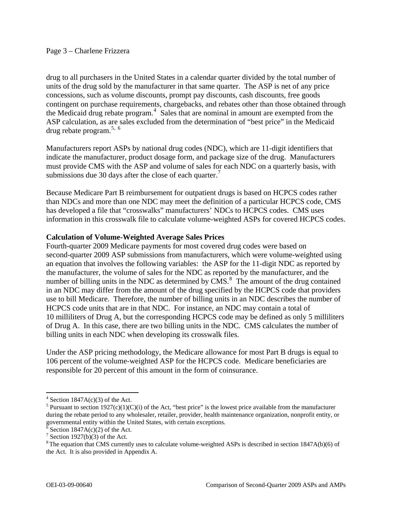drug to all purchasers in the United States in a calendar quarter divided by the total number of units of the drug sold by the manufacturer in that same quarter. The ASP is net of any price concessions, such as volume discounts, prompt pay discounts, cash discounts, free goods contingent on purchase requirements, chargebacks, and rebates other than those obtained through the Medicaid drug rebate program. $4$  Sales that are nominal in amount are exempted from the ASP calculation, as are sales excluded from the determination of "best price" in the Medicaid drug rebate program. $5, 6$  $5, 6$  $5, 6$ 

Manufacturers report ASPs by national drug codes (NDC), which are 11-digit identifiers that indicate the manufacturer, product dosage form, and package size of the drug. Manufacturers must provide CMS with the ASP and volume of sales for each NDC on a quarterly basis, with submissions due 30 days after the close of each quarter. $\frac{7}{1}$  $\frac{7}{1}$  $\frac{7}{1}$ 

Because Medicare Part B reimbursement for outpatient drugs is based on HCPCS codes rather than NDCs and more than one NDC may meet the definition of a particular HCPCS code, CMS has developed a file that "crosswalks" manufacturers' NDCs to HCPCS codes. CMS uses information in this crosswalk file to calculate volume-weighted ASPs for covered HCPCS codes.

## **Calculation of Volume-Weighted Average Sales Prices**

Fourth-quarter 2009 Medicare payments for most covered drug codes were based on second-quarter 2009 ASP submissions from manufacturers, which were volume-weighted using an equation that involves the following variables: the ASP for the 11-digit NDC as reported by the manufacturer, the volume of sales for the NDC as reported by the manufacturer, and the number of billing units in the NDC as determined by  $\overline{CMS}$ .<sup>[8](#page-2-4)</sup> The amount of the drug contained in an NDC may differ from the amount of the drug specified by the HCPCS code that providers use to bill Medicare. Therefore, the number of billing units in an NDC describes the number of HCPCS code units that are in that NDC. For instance, an NDC may contain a total of 10 milliliters of Drug A, but the corresponding HCPCS code may be defined as only 5 milliliters of Drug A. In this case, there are two billing units in the NDC. CMS calculates the number of billing units in each NDC when developing its crosswalk files.

Under the ASP pricing methodology, the Medicare allowance for most Part B drugs is equal to 106 percent of the volume-weighted ASP for the HCPCS code. Medicare beneficiaries are responsible for 20 percent of this amount in the form of coinsurance.

 $4$  Section 1847A(c)(3) of the Act.

<span id="page-2-1"></span><span id="page-2-0"></span><sup>&</sup>lt;sup>5</sup> Pursuant to section 1927(c)(1)(C)(i) of the Act, "best price" is the lowest price available from the manufacturer during the rebate period to any wholesaler, retailer, provider, health maintenance organization, nonprofit entity, or governmental entity within the United States, with certain exceptions.

<span id="page-2-2"></span> $\delta$  Section 1847A(c)(2) of the Act.

<sup>&</sup>lt;sup>7</sup> Section 1927(b)(3) of the Act.

<span id="page-2-4"></span><span id="page-2-3"></span><sup>&</sup>lt;sup>8</sup> The equation that CMS currently uses to calculate volume-weighted ASPs is described in section 1847A(b)(6) of the Act. It is also provided in Appendix A.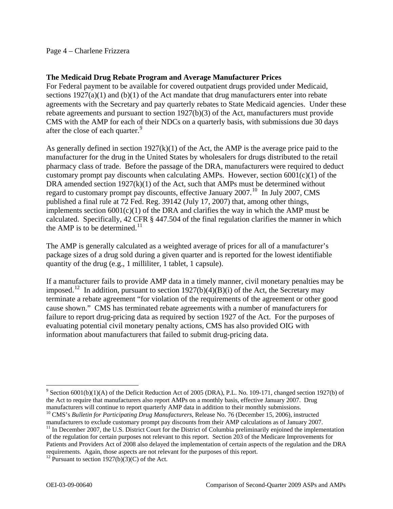## Page 4 – Charlene Frizzera

#### **The Medicaid Drug Rebate Program and Average Manufacturer Prices**

For Federal payment to be available for covered outpatient drugs provided under Medicaid, sections  $1927(a)(1)$  and  $(b)(1)$  of the Act mandate that drug manufacturers enter into rebate agreements with the Secretary and pay quarterly rebates to State Medicaid agencies. Under these rebate agreements and pursuant to section 1927(b)(3) of the Act, manufacturers must provide CMS with the AMP for each of their NDCs on a quarterly basis, with submissions due 30 days after the close of each quarter.<sup>[9](#page-3-0)</sup>

As generally defined in section 1927(k)(1) of the Act, the AMP is the average price paid to the manufacturer for the drug in the United States by wholesalers for drugs distributed to the retail pharmacy class of trade. Before the passage of the DRA, manufacturers were required to deduct customary prompt pay discounts when calculating AMPs. However, section  $6001(c)(1)$  of the DRA amended section 1927(k)(1) of the Act, such that AMPs must be determined without regard to customary prompt pay discounts, effective January 2007.<sup>[10](#page-3-1)</sup> In July 2007, CMS published a final rule at 72 Fed. Reg. 39142 (July 17, 2007) that, among other things, implements section  $6001(c)(1)$  of the DRA and clarifies the way in which the AMP must be calculated. Specifically, 42 CFR § 447.504 of the final regulation clarifies the manner in which the AMP is to be determined. $11$ 

The AMP is generally calculated as a weighted average of prices for all of a manufacturer's package sizes of a drug sold during a given quarter and is reported for the lowest identifiable quantity of the drug (e.g., 1 milliliter, 1 tablet, 1 capsule).

If a manufacturer fails to provide AMP data in a timely manner, civil monetary penalties may be imposed.<sup>[12](#page-3-3)</sup> In addition, pursuant to section 1927(b)(4)(B)(i) of the Act, the Secretary may terminate a rebate agreement "for violation of the requirements of the agreement or other good cause shown." CMS has terminated rebate agreements with a number of manufacturers for failure to report drug-pricing data as required by section 1927 of the Act. For the purposes of evaluating potential civil monetary penalty actions, CMS has also provided OIG with information about manufacturers that failed to submit drug-pricing data.

<span id="page-3-0"></span><sup>&</sup>lt;sup>9</sup> Section 6001(b)(1)(A) of the Deficit Reduction Act of 2005 (DRA), P.L. No. 109-171, changed section 1927(b) of the Act to require that manufacturers also report AMPs on a monthly basis, effective January 2007. Drug manufacturers will continue to report quarterly AMP data in addition to their monthly submissions. 10 CMS's *Bulletin for Participating Drug Manufacturers*, Release No. 76 (December 15, 2006), instructed

<span id="page-3-1"></span>manufacturers to exclude customary prompt pay discounts from their AMP calculations as of January 2007.

<span id="page-3-2"></span> $11$  In December 2007, the U.S. District Court for the District of Columbia preliminarily enjoined the implementation of the regulation for certain purposes not relevant to this report. Section 203 of the Medicare Improvements for Patients and Providers Act of 2008 also delayed the implementation of certain aspects of the regulation and the DRA requirements. Again, those aspects are not relevant for the purposes of this report. 12 Pursuant to section 1927(b)(3)(C) of the Act.

<span id="page-3-3"></span>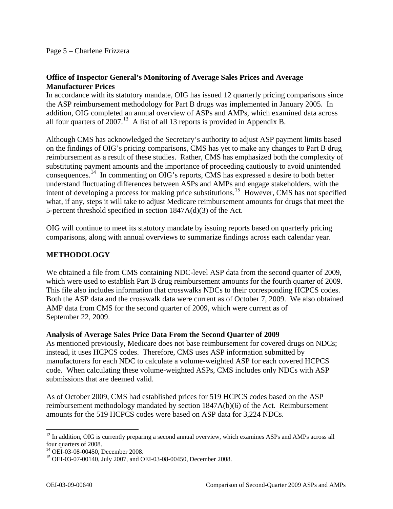## **Office of Inspector General's Monitoring of Average Sales Prices and Average Manufacturer Prices**

In accordance with its statutory mandate, OIG has issued 12 quarterly pricing comparisons since the ASP reimbursement methodology for Part B drugs was implemented in January 2005. In addition, OIG completed an annual overview of ASPs and AMPs, which examined data across all four quarters of  $2007<sup>13</sup>$  $2007<sup>13</sup>$  $2007<sup>13</sup>$  A list of all 13 reports is provided in Appendix B.

Although CMS has acknowledged the Secretary's authority to adjust ASP payment limits based on the findings of OIG's pricing comparisons, CMS has yet to make any changes to Part B drug reimbursement as a result of these studies. Rather, CMS has emphasized both the complexity of substituting payment amounts and the importance of proceeding cautiously to avoid unintended consequences.[14](#page-4-1) In commenting on OIG's reports, CMS has expressed a desire to both better understand fluctuating differences between ASPs and AMPs and engage stakeholders, with the intent of developing a process for making price substitutions.<sup>[15](#page-4-2)</sup> However, CMS has not specified what, if any, steps it will take to adjust Medicare reimbursement amounts for drugs that meet the 5-percent threshold specified in section 1847A(d)(3) of the Act.

OIG will continue to meet its statutory mandate by issuing reports based on quarterly pricing comparisons, along with annual overviews to summarize findings across each calendar year.

# **METHODOLOGY**

We obtained a file from CMS containing NDC-level ASP data from the second quarter of 2009, which were used to establish Part B drug reimbursement amounts for the fourth quarter of 2009. This file also includes information that crosswalks NDCs to their corresponding HCPCS codes. Both the ASP data and the crosswalk data were current as of October 7, 2009. We also obtained AMP data from CMS for the second quarter of 2009, which were current as of September 22, 2009.

## **Analysis of Average Sales Price Data From the Second Quarter of 2009**

As mentioned previously, Medicare does not base reimbursement for covered drugs on NDCs; instead, it uses HCPCS codes. Therefore, CMS uses ASP information submitted by manufacturers for each NDC to calculate a volume-weighted ASP for each covered HCPCS code. When calculating these volume-weighted ASPs, CMS includes only NDCs with ASP submissions that are deemed valid.

As of October 2009, CMS had established prices for 519 HCPCS codes based on the ASP reimbursement methodology mandated by section 1847A(b)(6) of the Act. Reimbursement amounts for the 519 HCPCS codes were based on ASP data for 3,224 NDCs.

<span id="page-4-0"></span><sup>&</sup>lt;sup>13</sup> In addition, OIG is currently preparing a second annual overview, which examines ASPs and AMPs across all four quarters of 2008.

<span id="page-4-1"></span><sup>&</sup>lt;sup>14</sup> OEI-03-08-00450, December 2008.

<span id="page-4-2"></span><sup>15</sup> OEI-03-07-00140, July 2007, and OEI-03-08-00450, December 2008.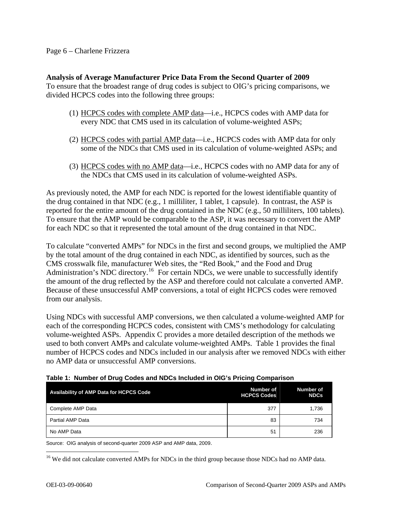#### Page 6 – Charlene Frizzera

#### **Analysis of Average Manufacturer Price Data From the Second Quarter of 2009**

To ensure that the broadest range of drug codes is subject to OIG's pricing comparisons, we divided HCPCS codes into the following three groups:

- (1) HCPCS codes with complete AMP data—i.e., HCPCS codes with AMP data for every NDC that CMS used in its calculation of volume-weighted ASPs;
- (2) HCPCS codes with partial AMP data—i.e., HCPCS codes with AMP data for only some of the NDCs that CMS used in its calculation of volume-weighted ASPs; and
- (3) HCPCS codes with no AMP data—i.e., HCPCS codes with no AMP data for any of the NDCs that CMS used in its calculation of volume-weighted ASPs.

As previously noted, the AMP for each NDC is reported for the lowest identifiable quantity of the drug contained in that NDC (e.g., 1 milliliter, 1 tablet, 1 capsule). In contrast, the ASP is reported for the entire amount of the drug contained in the NDC (e.g., 50 milliliters, 100 tablets). To ensure that the AMP would be comparable to the ASP, it was necessary to convert the AMP for each NDC so that it represented the total amount of the drug contained in that NDC.

To calculate "converted AMPs" for NDCs in the first and second groups, we multiplied the AMP by the total amount of the drug contained in each NDC, as identified by sources, such as the CMS crosswalk file, manufacturer Web sites, the "Red Book," and the Food and Drug Administration's NDC directory.<sup>[16](#page-5-0)</sup> For certain NDCs, we were unable to successfully identify the amount of the drug reflected by the ASP and therefore could not calculate a converted AMP. Because of these unsuccessful AMP conversions, a total of eight HCPCS codes were removed from our analysis.

Using NDCs with successful AMP conversions, we then calculated a volume-weighted AMP for each of the corresponding HCPCS codes, consistent with CMS's methodology for calculating volume-weighted ASPs. Appendix C provides a more detailed description of the methods we used to both convert AMPs and calculate volume-weighted AMPs. Table 1 provides the final number of HCPCS codes and NDCs included in our analysis after we removed NDCs with either no AMP data or unsuccessful AMP conversions.

| Availability of AMP Data for HCPCS Code | Number of<br><b>HCPCS Codes</b> | <b>Number of</b><br><b>NDCs</b> |
|-----------------------------------------|---------------------------------|---------------------------------|
| Complete AMP Data                       | 377                             | 1,736                           |
| Partial AMP Data                        | 83                              | 734                             |
| No AMP Data                             | 51                              | 236                             |

#### **Table 1: Number of Drug Codes and NDCs Included in OIG's Pricing Comparison**

Source: OIG analysis of second-quarter 2009 ASP and AMP data, 2009.

<span id="page-5-0"></span><sup>&</sup>lt;sup>16</sup> We did not calculate converted AMPs for NDCs in the third group because those NDCs had no AMP data.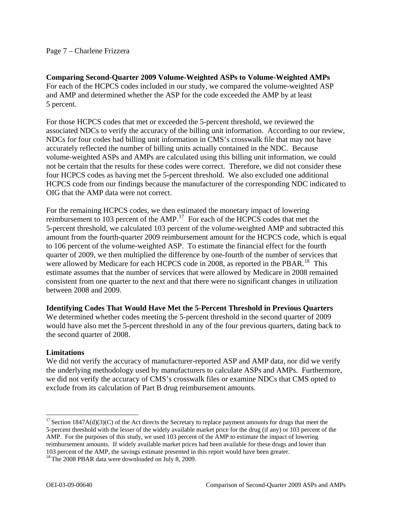**Comparing Second-Quarter 2009 Volume-Weighted ASPs to Volume-Weighted AMPs**  For each of the HCPCS codes included in our study, we compared the volume-weighted ASP and AMP and determined whether the ASP for the code exceeded the AMP by at least 5 percent.

For those HCPCS codes that met or exceeded the 5-percent threshold, we reviewed the associated NDCs to verify the accuracy of the billing unit information. According to our review, NDCs for four codes had billing unit information in CMS's crosswalk file that may not have accurately reflected the number of billing units actually contained in the NDC. Because volume-weighted ASPs and AMPs are calculated using this billing unit information, we could not be certain that the results for these codes were correct. Therefore, we did not consider these four HCPCS codes as having met the 5-percent threshold. We also excluded one additional HCPCS code from our findings because the manufacturer of the corresponding NDC indicated to OIG that the AMP data were not correct.

For the remaining HCPCS codes, we then estimated the monetary impact of lowering reimbursement to 103 percent of the AMP.<sup>[17](#page-6-0)</sup> For each of the HCPCS codes that met the 5-percent threshold, we calculated 103 percent of the volume-weighted AMP and subtracted this amount from the fourth-quarter 2009 reimbursement amount for the HCPCS code, which is equal to 106 percent of the volume-weighted ASP. To estimate the financial effect for the fourth quarter of 2009, we then multiplied the difference by one-fourth of the number of services that were allowed by Medicare for each HCPCS code in 2008, as reported in the PBAR.<sup>[18](#page-6-1)</sup> This estimate assumes that the number of services that were allowed by Medicare in 2008 remained consistent from one quarter to the next and that there were no significant changes in utilization between 2008 and 2009.

**Identifying Codes That Would Have Met the 5-Percent Threshold in Previous Quarters** 

We determined whether codes meeting the 5-percent threshold in the second quarter of 2009 would have also met the 5-percent threshold in any of the four previous quarters, dating back to the second quarter of 2008.

# **Limitations**

We did not verify the accuracy of manufacturer-reported ASP and AMP data, nor did we verify the underlying methodology used by manufacturers to calculate ASPs and AMPs. Furthermore, we did not verify the accuracy of CMS's crosswalk files or examine NDCs that CMS opted to exclude from its calculation of Part B drug reimbursement amounts.

<span id="page-6-0"></span> $\overline{a}$  $17$  Section 1847A(d)(3)(C) of the Act directs the Secretary to replace payment amounts for drugs that meet the 5-percent threshold with the lesser of the widely available market price for the drug (if any) or 103 percent of the AMP. For the purposes of this study, we used 103 percent of the AMP to estimate the impact of lowering reimbursement amounts. If widely available market prices had been available for these drugs and lower than 103 percent of the AMP, the savings estimate presented in this report would have been greater.

<span id="page-6-1"></span><sup>&</sup>lt;sup>18</sup> The 2008 PBAR data were downloaded on July 8, 2009.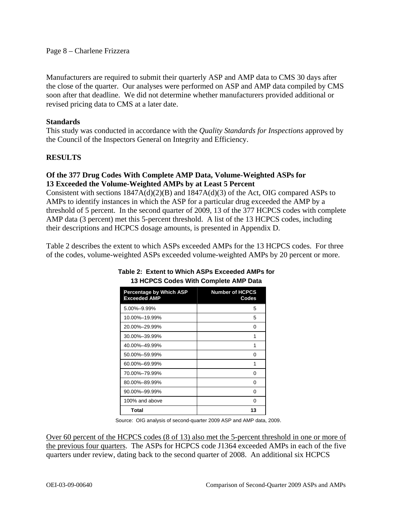Manufacturers are required to submit their quarterly ASP and AMP data to CMS 30 days after the close of the quarter. Our analyses were performed on ASP and AMP data compiled by CMS soon after that deadline. We did not determine whether manufacturers provided additional or revised pricing data to CMS at a later date.

## **Standards**

This study was conducted in accordance with the *Quality Standards for Inspections* approved by the Council of the Inspectors General on Integrity and Efficiency.

## **RESULTS**

## **Of the 377 Drug Codes With Complete AMP Data, Volume-Weighted ASPs for 13 Exceeded the Volume-Weighted AMPs by at Least 5 Percent**

Consistent with sections  $1847A(d)(2)(B)$  and  $1847A(d)(3)$  of the Act, OIG compared ASPs to AMPs to identify instances in which the ASP for a particular drug exceeded the AMP by a threshold of 5 percent. In the second quarter of 2009, 13 of the 377 HCPCS codes with complete AMP data (3 percent) met this 5-percent threshold. A list of the 13 HCPCS codes, including their descriptions and HCPCS dosage amounts, is presented in Appendix D.

Table 2 describes the extent to which ASPs exceeded AMPs for the 13 HCPCS codes. For three of the codes, volume-weighted ASPs exceeded volume-weighted AMPs by 20 percent or more.

| <b>Percentage by Which ASP</b><br><b>Exceeded AMP</b> | <b>Number of HCPCS</b><br>Codes |
|-------------------------------------------------------|---------------------------------|
| 5.00%-9.99%                                           | 5                               |
| 10.00%-19.99%                                         | 5                               |
| 20.00%-29.99%                                         | 0                               |
| 30.00%-39.99%                                         | 1                               |
| 40.00%-49.99%                                         | 1                               |
| 50.00%-59.99%                                         | 0                               |
| 60.00%-69.99%                                         | 1                               |
| 70.00%-79.99%                                         | O                               |
| 80.00%-89.99%                                         | 0                               |
| 90.00%-99.99%                                         | 0                               |
| 100% and above                                        | O                               |
| <b>Total</b>                                          | 13                              |

## **Table 2: Extent to Which ASPs Exceeded AMPs for 13 HCPCS Codes With Complete AMP Data**

Source: OIG analysis of second-quarter 2009 ASP and AMP data, 2009.

Over 60 percent of the HCPCS codes (8 of 13) also met the 5-percent threshold in one or more of the previous four quarters. The ASPs for HCPCS code J1364 exceeded AMPs in each of the five quarters under review, dating back to the second quarter of 2008. An additional six HCPCS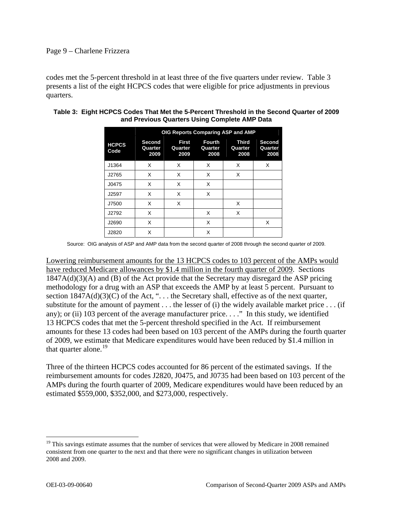## Page 9 – Charlene Frizzera

codes met the 5-percent threshold in at least three of the five quarters under review. Table 3 presents a list of the eight HCPCS codes that were eligible for price adjustments in previous quarters.

|                      | OIG Reports Comparing ASP and AMP |                                 |                                  |                          |                           |
|----------------------|-----------------------------------|---------------------------------|----------------------------------|--------------------------|---------------------------|
| <b>HCPCS</b><br>Code | Second<br>Quarter<br>2009         | <b>First</b><br>Quarter<br>2009 | <b>Fourth</b><br>Quarter<br>2008 | Third<br>Quarter<br>2008 | Second<br>Quarter<br>2008 |
| J1364                | X                                 | X                               | X                                | X                        | X                         |
| J2765                | X                                 | X                               | X                                | X                        |                           |
| J0475                | X                                 | X                               | X                                |                          |                           |
| J2597                | X                                 | X                               | X                                |                          |                           |
| J7500                | X                                 | X                               |                                  | X                        |                           |
| J2792                | X                                 |                                 | X                                | X                        |                           |
| J2690                | X                                 |                                 | X                                |                          | X                         |
| J2820                | X                                 |                                 | X                                |                          |                           |

#### **Table 3: Eight HCPCS Codes That Met the 5-Percent Threshold in the Second Quarter of 2009 and Previous Quarters Using Complete AMP Data**

Source: OIG analysis of ASP and AMP data from the second quarter of 2008 through the second quarter of 2009.

Lowering reimbursement amounts for the 13 HCPCS codes to 103 percent of the AMPs would have reduced Medicare allowances by \$1.4 million in the fourth quarter of 2009. Sections 1847A(d)(3)(A) and (B) of the Act provide that the Secretary may disregard the ASP pricing methodology for a drug with an ASP that exceeds the AMP by at least 5 percent. Pursuant to section  $1847A(d)(3)(C)$  of the Act, "... the Secretary shall, effective as of the next quarter, substitute for the amount of payment  $\dots$  the lesser of (i) the widely available market price  $\dots$  (if any); or (ii) 103 percent of the average manufacturer price. . . ." In this study, we identified 13 HCPCS codes that met the 5-percent threshold specified in the Act. If reimbursement amounts for these 13 codes had been based on 103 percent of the AMPs during the fourth quarter of 2009, we estimate that Medicare expenditures would have been reduced by \$1.4 million in that quarter alone.<sup>[19](#page-8-0)</sup>

Three of the thirteen HCPCS codes accounted for 86 percent of the estimated savings. If the reimbursement amounts for codes J2820, J0475, and J0735 had been based on 103 percent of the AMPs during the fourth quarter of 2009, Medicare expenditures would have been reduced by an estimated \$559,000, \$352,000, and \$273,000, respectively.

1

<span id="page-8-0"></span><sup>&</sup>lt;sup>19</sup> This savings estimate assumes that the number of services that were allowed by Medicare in 2008 remained consistent from one quarter to the next and that there were no significant changes in utilization between 2008 and 2009.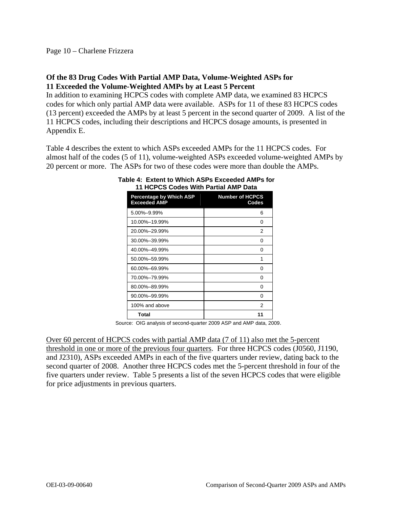## **Of the 83 Drug Codes With Partial AMP Data, Volume-Weighted ASPs for 11 Exceeded the Volume-Weighted AMPs by at Least 5 Percent**

In addition to examining HCPCS codes with complete AMP data, we examined 83 HCPCS codes for which only partial AMP data were available. ASPs for 11 of these 83 HCPCS codes (13 percent) exceeded the AMPs by at least 5 percent in the second quarter of 2009. A list of the 11 HCPCS codes, including their descriptions and HCPCS dosage amounts, is presented in Appendix E.

Table 4 describes the extent to which ASPs exceeded AMPs for the 11 HCPCS codes. For almost half of the codes (5 of 11), volume-weighted ASPs exceeded volume-weighted AMPs by 20 percent or more. The ASPs for two of these codes were more than double the AMPs.

| TI TIVI VU VUUTS YYILITTÄI LIHATAIVIIT<br>Dala |                                 |  |  |
|------------------------------------------------|---------------------------------|--|--|
| Percentage by Which ASP<br><b>Exceeded AMP</b> | <b>Number of HCPCS</b><br>Codes |  |  |
| 5.00%-9.99%                                    | 6                               |  |  |
| 10.00%-19.99%                                  | 0                               |  |  |
| 20.00%-29.99%                                  | 2                               |  |  |
| 30.00%-39.99%                                  | 0                               |  |  |
| 40.00%-49.99%                                  | 0                               |  |  |
| 50.00%-59.99%                                  | 1                               |  |  |
| 60.00%-69.99%                                  | 0                               |  |  |
| 70.00%-79.99%                                  | 0                               |  |  |
| 80.00%-89.99%                                  | 0                               |  |  |
| 90.00%-99.99%                                  | 0                               |  |  |
| 100% and above                                 | 2                               |  |  |
| Total                                          | 11                              |  |  |

#### **Table 4: Extent to Which ASPs Exceeded AMPs for 11 HCPCS Codes With Partial AMP Data**

Source: OIG analysis of second-quarter 2009 ASP and AMP data, 2009.

Over 60 percent of HCPCS codes with partial AMP data (7 of 11) also met the 5-percent threshold in one or more of the previous four quarters. For three HCPCS codes (J0560, J1190, and J2310), ASPs exceeded AMPs in each of the five quarters under review, dating back to the second quarter of 2008. Another three HCPCS codes met the 5-percent threshold in four of the five quarters under review. Table 5 presents a list of the seven HCPCS codes that were eligible for price adjustments in previous quarters.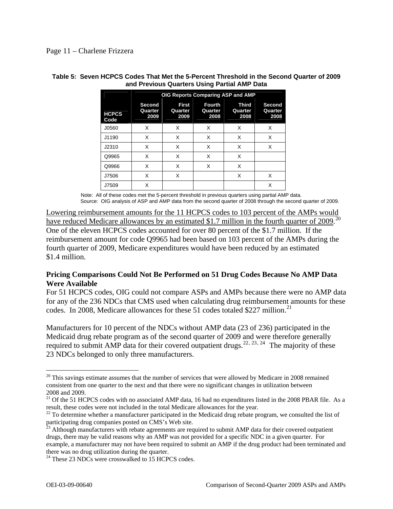|                      | OIG Reports Comparing ASP and AMP |                                 |                                  |                          |                                  |
|----------------------|-----------------------------------|---------------------------------|----------------------------------|--------------------------|----------------------------------|
| <b>HCPCS</b><br>Code | Second<br>Quarter<br>2009         | <b>First</b><br>Quarter<br>2009 | <b>Fourth</b><br>Quarter<br>2008 | Third<br>Quarter<br>2008 | <b>Second</b><br>Quarter<br>2008 |
| J0560                | X                                 | X                               | X                                | X                        | X                                |
| J1190                | X                                 | X                               | X                                | X                        | X                                |
| J2310                | X                                 | X                               | X                                | X                        | X                                |
| Q9965                | X                                 | x                               | X                                | X                        |                                  |
| Q9966                | X                                 | X                               | X                                | X                        |                                  |
| J7506                | X                                 | X                               |                                  | X                        | X                                |
| J7509                | X                                 |                                 |                                  |                          | X                                |

#### **Table 5: Seven HCPCS Codes That Met the 5-Percent Threshold in the Second Quarter of 2009 and Previous Quarters Using Partial AMP Data**

Note: All of these codes met the 5-percent threshold in previous quarters using partial AMP data. Source: OIG analysis of ASP and AMP data from the second quarter of 2008 through the second quarter of 2009.

Lowering reimbursement amounts for the 11 HCPCS codes to 103 percent of the AMPs would have reduced Medicare allowances by an estimated \$1.7 million in the fourth quarter of [20](#page-10-0)09.<sup>20</sup> One of the eleven HCPCS codes accounted for over 80 percent of the \$1.7 million. If the reimbursement amount for code Q9965 had been based on 103 percent of the AMPs during the fourth quarter of 2009, Medicare expenditures would have been reduced by an estimated \$1.4 million.

# **Pricing Comparisons Could Not Be Performed on 51 Drug Codes Because No AMP Data Were Available**

For 51 HCPCS codes, OIG could not compare ASPs and AMPs because there were no AMP data for any of the 236 NDCs that CMS used when calculating drug reimbursement amounts for these codes. In 2008, Medicare allowances for these 51 codes totaled \$227 million.<sup>[21](#page-10-1)</sup>

Manufacturers for 10 percent of the NDCs without AMP data (23 of 236) participated in the Medicaid drug rebate program as of the second quarter of 2009 and were therefore generally required to submit AMP data for their covered outpatient drugs.<sup>[22](#page-10-2), [23](#page-10-3), [24](#page-10-4)</sup> The majority of these 23 NDCs belonged to only three manufacturers.

<span id="page-10-0"></span> $20$  This savings estimate assumes that the number of services that were allowed by Medicare in 2008 remained consistent from one quarter to the next and that there were no significant changes in utilization between 2008 and 2009.

<span id="page-10-1"></span><sup>&</sup>lt;sup>21</sup> Of the 51 HCPCS codes with no associated AMP data, 16 had no expenditures listed in the 2008 PBAR file. As a result, these codes were not included in the total Medicare allowances for the year.

<span id="page-10-2"></span> $^{22}$  To determine whether a manufacturer participated in the Medicaid drug rebate program, we consulted the list of participating drug companies posted on CMS's Web site.

<span id="page-10-3"></span> $\frac{23}{23}$  Although manufacturers with rebate agreements are required to submit AMP data for their covered outpatient drugs, there may be valid reasons why an AMP was not provided for a specific NDC in a given quarter. For example, a manufacturer may not have been required to submit an AMP if the drug product had been terminated and there was no drug utilization during the quarter.

<span id="page-10-4"></span><sup>&</sup>lt;sup>24</sup> These 23 NDCs were crosswalked to 15 HCPCS codes.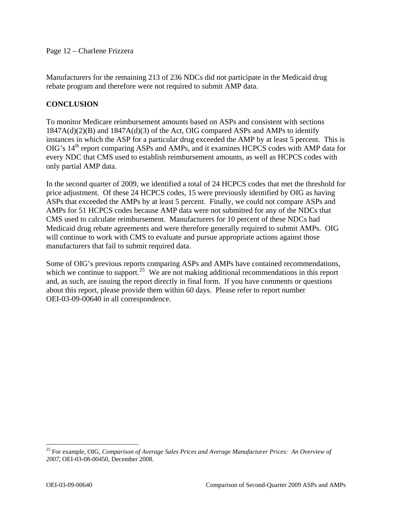Page 12 – Charlene Frizzera

Manufacturers for the remaining 213 of 236 NDCs did not participate in the Medicaid drug rebate program and therefore were not required to submit AMP data.

## **CONCLUSION**

To monitor Medicare reimbursement amounts based on ASPs and consistent with sections  $1847A(d)(2)(B)$  and  $1847A(d)(3)$  of the Act, OIG compared ASPs and AMPs to identify instances in which the ASP for a particular drug exceeded the AMP by at least 5 percent. This is  $OIG's 14<sup>th</sup>$  report comparing ASPs and AMPs, and it examines HCPCS codes with AMP data for every NDC that CMS used to establish reimbursement amounts, as well as HCPCS codes with only partial AMP data.

In the second quarter of 2009, we identified a total of 24 HCPCS codes that met the threshold for price adjustment. Of these 24 HCPCS codes, 15 were previously identified by OIG as having ASPs that exceeded the AMPs by at least 5 percent. Finally, we could not compare ASPs and AMPs for 51 HCPCS codes because AMP data were not submitted for any of the NDCs that CMS used to calculate reimbursement. Manufacturers for 10 percent of these NDCs had Medicaid drug rebate agreements and were therefore generally required to submit AMPs. OIG will continue to work with CMS to evaluate and pursue appropriate actions against those manufacturers that fail to submit required data.

Some of OIG's previous reports comparing ASPs and AMPs have contained recommendations, which we continue to support.<sup>[25](#page-11-0)</sup> We are not making additional recommendations in this report and, as such, are issuing the report directly in final form. If you have comments or questions about this report, please provide them within 60 days. Please refer to report number OEI-03-09-00640 in all correspondence.

<span id="page-11-0"></span><sup>25</sup> For example, OIG, *Comparison of Average Sales Prices and Average Manufacturer Prices: An Overview of 2007*, OEI-03-08-00450, December 2008.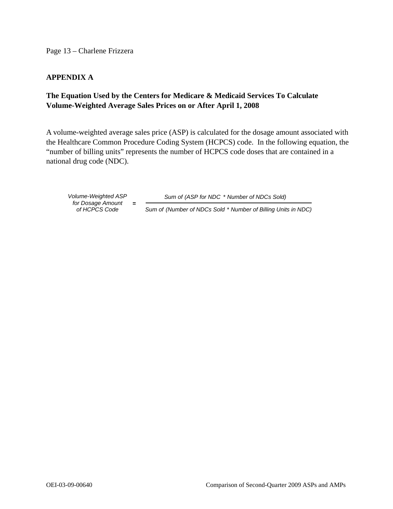Page 13 – Charlene Frizzera

## **APPENDIX A**

# **The Equation Used by the Centers for Medicare & Medicaid Services To Calculate Volume-Weighted Average Sales Prices on or After April 1, 2008**

A volume-weighted average sales price (ASP) is calculated for the dosage amount associated with the Healthcare Common Procedure Coding System (HCPCS) code. In the following equation, the "number of billing units" represents the number of HCPCS code doses that are contained in a national drug code (NDC).

*of HCPCS Co de for Dosage Amount* **=** 

*Volume-Weighted ASP Sum of (ASP for NDC* \* *Number of NDCs Sold)*

*Sum of (Number of NDCs Sold* \* *Number of Billing Units in NDC)*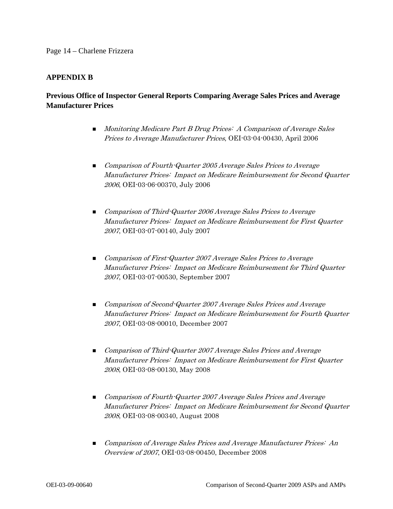#### **APPENDIX B**

## **Previous Office of Inspector General Reports Comparing Average Sales Prices and Average Manufacturer Prices**

- **Monitoring Medicare Part B Drug Prices: A Comparison of Average Sales** Prices to Average Manufacturer Prices, OEI-03-04-00430, April 2006
- Comparison of Fourth-Quarter 2005 Average Sales Prices to Average Manufacturer Prices: Impact on Medicare Reimbursement for Second Quarter 2006, OEI-03-06-00370, July 2006
- Comparison of Third-Quarter 2006 Average Sales Prices to Average Manufacturer Prices: Impact on Medicare Reimbursement for First Quarter 2007, OEI-03-07-00140, July 2007
- **Comparison of First-Quarter 2007 Average Sales Prices to Average** Manufacturer Prices: Impact on Medicare Reimbursement for Third Quarter 2007, OEI-03-07-00530, September 2007
- **Comparison of Second-Quarter 2007 Average Sales Prices and Average** Manufacturer Prices: Impact on Medicare Reimbursement for Fourth Quarter 2007, OEI-03-08-00010, December 2007
- **Demonstrate Comparison of Third-Quarter 2007 Average Sales Prices and Average** Manufacturer Prices: Impact on Medicare Reimbursement for First Quarter 2008, OEI-03-08-00130, May 2008
- **Comparison of Fourth-Quarter 2007 Average Sales Prices and Average** Manufacturer Prices: Impact on Medicare Reimbursement for Second Quarter 2008, OEI-03-08-00340, August 2008
- **Comparison of Average Sales Prices and Average Manufacturer Prices: An** Overview of 2007, OEI-03-08-00450, December 2008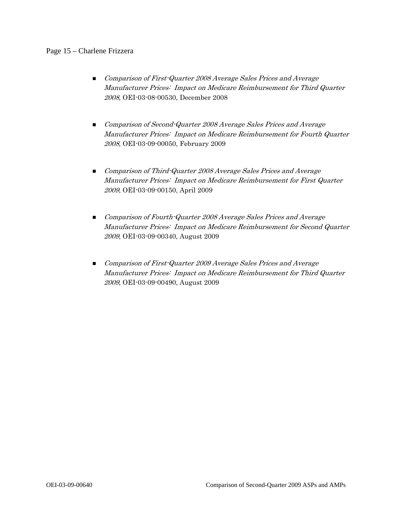#### Page 15 – Charlene Frizzera

- **Comparison of First-Quarter 2008 Average Sales Prices and Average** Manufacturer Prices: Impact on Medicare Reimbursement for Third Quarter 2008, OEI-03-08-00530, December 2008
- Comparison of Second-Quarter 2008 Average Sales Prices and Average Manufacturer Prices: Impact on Medicare Reimbursement for Fourth Quarter 2008, OEI-03-09-00050, February 2009
- **Demonstrate Comparison of Third-Quarter 2008 Average Sales Prices and Average** Manufacturer Prices: Impact on Medicare Reimbursement for First Quarter 2009, OEI-03-09-00150, April 2009
- **Comparison of Fourth-Quarter 2008 Average Sales Prices and Average** Manufacturer Prices: Impact on Medicare Reimbursement for Second Quarter 2009, OEI-03-09-00340, August 2009
- Comparison of First-Quarter 2009 Average Sales Prices and Average Manufacturer Prices: Impact on Medicare Reimbursement for Third Quarter 2009, OEI-03-09-00490, August 2009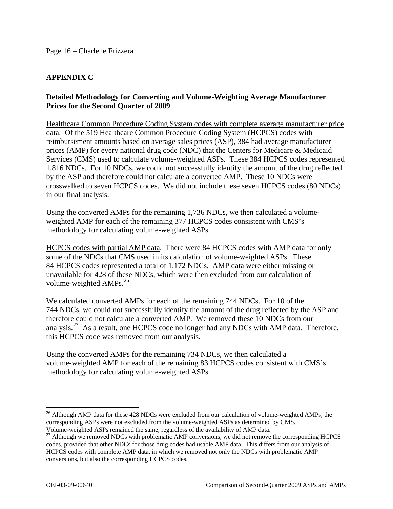# **APPENDIX C**

## **Detailed Methodology for Converting and Volume-Weighting Average Manufacturer Prices for the Second Quarter of 2009**

Healthcare Common Procedure Coding System codes with complete average manufacturer price data. Of the 519 Healthcare Common Procedure Coding System (HCPCS) codes with reimbursement amounts based on average sales prices (ASP), 384 had average manufacturer prices (AMP) for every national drug code (NDC) that the Centers for Medicare & Medicaid Services (CMS) used to calculate volume-weighted ASPs. These 384 HCPCS codes represented 1,816 NDCs. For 10 NDCs, we could not successfully identify the amount of the drug reflected by the ASP and therefore could not calculate a converted AMP. These 10 NDCs were crosswalked to seven HCPCS codes. We did not include these seven HCPCS codes (80 NDCs) in our final analysis.

Using the converted AMPs for the remaining 1,736 NDCs, we then calculated a volumeweighted AMP for each of the remaining 377 HCPCS codes consistent with CMS's methodology for calculating volume-weighted ASPs.

HCPCS codes with partial AMP data. There were 84 HCPCS codes with AMP data for only some of the NDCs that CMS used in its calculation of volume-weighted ASPs. These 84 HCPCS codes represented a total of 1,172 NDCs. AMP data were either missing or unavailable for 428 of these NDCs, which were then excluded from our calculation of volume-weighted AMPs.<sup>[26](#page-15-0)</sup>

We calculated converted AMPs for each of the remaining 744 NDCs. For 10 of the 744 NDCs, we could not successfully identify the amount of the drug reflected by the ASP and therefore could not calculate a converted AMP. We removed these 10 NDCs from our analysis.<sup>[27](#page-15-1)</sup> As a result, one HCPCS code no longer had any NDCs with AMP data. Therefore, this HCPCS code was removed from our analysis.

Using the converted AMPs for the remaining 734 NDCs, we then calculated a volume-weighted AMP for each of the remaining 83 HCPCS codes consistent with CMS's methodology for calculating volume-weighted ASPs.

<span id="page-15-0"></span><sup>&</sup>lt;sup>26</sup> Although AMP data for these 428 NDCs were excluded from our calculation of volume-weighted AMPs, the corresponding ASPs were not excluded from the volume-weighted ASPs as determined by CMS. Volume-weighted ASPs remained the same, regardless of the availability of AMP data.

<span id="page-15-1"></span><sup>&</sup>lt;sup>27</sup> Although we removed NDCs with problematic AMP conversions, we did not remove the corresponding HCPCS codes, provided that other NDCs for those drug codes had usable AMP data. This differs from our analysis of HCPCS codes with complete AMP data, in which we removed not only the NDCs with problematic AMP conversions, but also the corresponding HCPCS codes.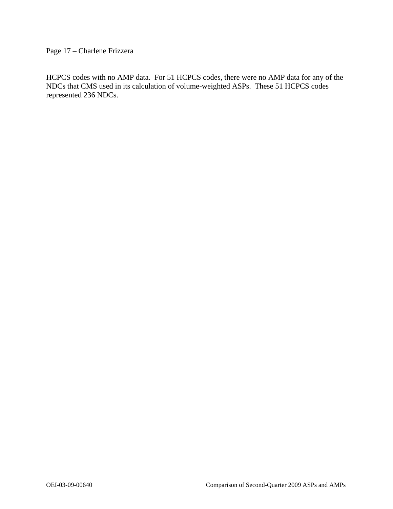Page 17 – Charlene Frizzera

HCPCS codes with no AMP data. For 51 HCPCS codes, there were no AMP data for any of the NDCs that CMS used in its calculation of volume-weighted ASPs. These 51 HCPCS codes represented 236 NDCs.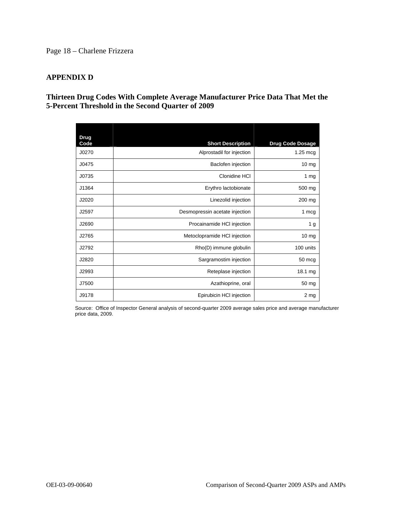## Page 18 – Charlene Frizzera

## **APPENDIX D**

## **Thirteen Drug Codes With Complete Average Manufacturer Price Data That Met the 5-Percent Threshold in the Second Quarter of 2009**

| <b>Drug</b><br>Code | <b>Short Description</b>       | <b>Drug Code Dosage</b> |
|---------------------|--------------------------------|-------------------------|
| J0270               | Alprostadil for injection      | $1.25 \text{ mc}$       |
| J0475               | Baclofen injection             | $10 \text{ mg}$         |
| J0735               | Clonidine HCI                  | 1 $mg$                  |
| J1364               | Erythro lactobionate           | 500 mg                  |
| J2020               | Linezolid injection            | 200 mg                  |
| J2597               | Desmopressin acetate injection | 1 mcg                   |
| J2690               | Procainamide HCI injection     | 1 <sub>g</sub>          |
| J2765               | Metoclopramide HCI injection   | $10 \text{ mg}$         |
| J2792               | Rho(D) immune globulin         | 100 units               |
| J2820               | Sargramostim injection         | 50 mcg                  |
| J2993               | Reteplase injection            | 18.1 mg                 |
| J7500               | Azathioprine, oral             | 50 mg                   |
| J9178               | Epirubicin HCI injection       | 2 <sub>mg</sub>         |

Source: Office of Inspector General analysis of second-quarter 2009 average sales price and average manufacturer price data, 2009.